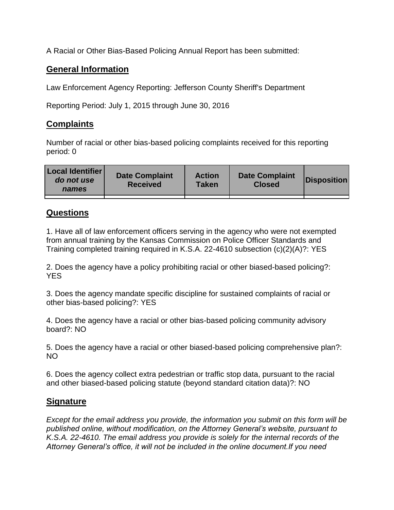A Racial or Other Bias-Based Policing Annual Report has been submitted:

## **General Information**

Law Enforcement Agency Reporting: Jefferson County Sheriff's Department

Reporting Period: July 1, 2015 through June 30, 2016

## **Complaints**

Number of racial or other bias-based policing complaints received for this reporting period: 0

| <b>Local Identifier</b><br>do not use<br>names | <b>Date Complaint</b><br><b>Received</b> | <b>Action</b><br><b>Taken</b> | <b>Date Complaint</b><br><b>Closed</b> | Disposition |
|------------------------------------------------|------------------------------------------|-------------------------------|----------------------------------------|-------------|
|                                                |                                          |                               |                                        |             |

## **Questions**

1. Have all of law enforcement officers serving in the agency who were not exempted from annual training by the Kansas Commission on Police Officer Standards and Training completed training required in K.S.A. 22-4610 subsection (c)(2)(A)?: YES

2. Does the agency have a policy prohibiting racial or other biased-based policing?: YES

3. Does the agency mandate specific discipline for sustained complaints of racial or other bias-based policing?: YES

4. Does the agency have a racial or other bias-based policing community advisory board?: NO

5. Does the agency have a racial or other biased-based policing comprehensive plan?: NO

6. Does the agency collect extra pedestrian or traffic stop data, pursuant to the racial and other biased-based policing statute (beyond standard citation data)?: NO

## **Signature**

*Except for the email address you provide, the information you submit on this form will be published online, without modification, on the Attorney General's website, pursuant to K.S.A. 22-4610. The email address you provide is solely for the internal records of the Attorney General's office, it will not be included in the online document.If you need*